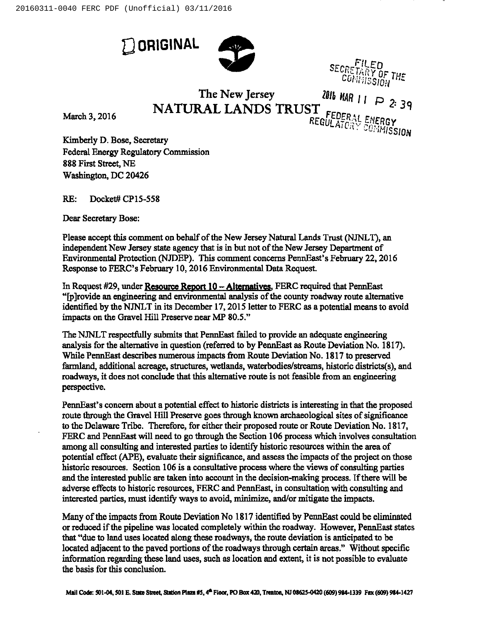**Q** ORIGINAL



IARY OF THE<br><sup>IMISSION</sub></sup>

The New Jersey  $201b$  MAR  $\mu$  $\operatorname{NATURAL}$  LANDS  $\operatorname{TRUE}^\mathsf{T}_{\operatorname{DEC}}$ 

March 3, 2016

REGULATORY, ENERGY<br>COMMISSIO

Kimberly D. Bose, Secretary Federal Energy Regulatory Commission 888 First Street, NE Washington, DC 20426

RE: Docket# CP15-558

Dear Secretary Bose:

Please accept this comment on behalf of the New Jersey Natural Lands Trust (NJNLT), an independent New Jersey state agency that is in but not of the New Jersey Department of Environmental Protection (NJDEP). This comment concerns PennEast's February 22, 2016 Response to FERC's February 10, 2016 Environmental Data Request.

In Request #29, under Resource Report  $10 -$  Alternatives. FERC required that PennEast "[p]rovide an engineering and environmental analysis ofthe county roadway route alternative identified by the NJNLT in its December 17, 2015 letter to FERC as a potential means to avoid impacts on the Gravel Hill Preserve near MP 80.5."

The NJNLT respectfully submits that PennEast failed to provide an adequate engineering analysis for the alternative in question (referred to by PennEast as Route Deviation No. 1817). While PennEast describes numerous impacts from Route Deviation No. 1817 to preserved farmland, additional acreage, structures, wetlands, waterbodies/streams, historic districts(s), and roadways, it does not conclude that this alternative route is not feasible from an engineering perspective.

PennEast's concern about a potential effect to historic districts is interesting in that the proposed route through the Gravel Hill Preserve goes through known archaeological sites of significance to the Delaware Tribe. Therefore, for either their proposed route or Route Deviation No. 1817, FERC and PennEast will need to go through the Section 106 process which involves consultation among all consulting and interested parties to identify historic resources within the area of potential effect (APE), evaluate their significance, and assess the impacts ofthe project on those historic resources. Section 106 is a consultative process where the views of consulting parties and the interested public are taken into account in the decision-making process. If there will be adverse effects to historic resources, FERC and PennEast, in consultation with consulting and interested parties, must identify ways to avoid, minimize, and/or mitigate the impacts.

Many of the impacts from Route Deviation No 1817 identified by PennEast could be eliminated or reduced if the pipeline was located completely within the roadway. However, PennEast states that "due to land uses located along these roadways, the route deviation is anticipated to be located adjacent to the paved portions of the roadways through certain areas." Without specific information regarding these land uses, such as location aud extent, it is not possible to evaluate the basis for this conclusion.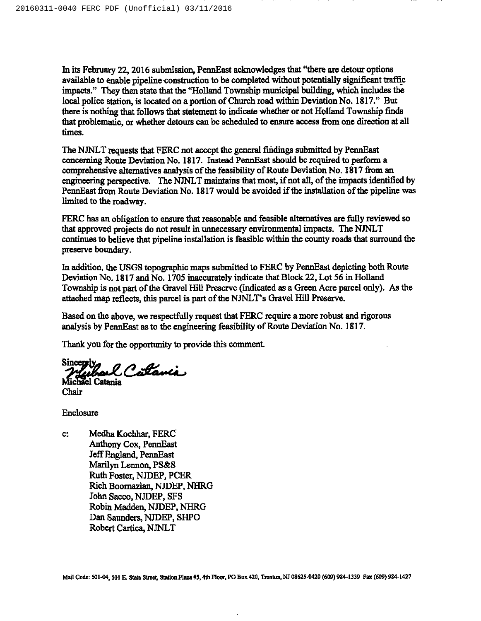In its February 22, 2016 submission, PennEast acknowledges that "there are detour options available to enable pipeline construction to be completed without potentially significant trafllc impacts." They then state that the "Holland Township municipal building, which includes the local police station, is located on a portion of Church road within Deviation No. 1817." But there is nothing that follows that statement to indicate whether or not Holland Township finds that problematic, or whether detours can be scheduled to ensure access fiom one direction at all times.

The NJNLT requests that FERC not accept the general findings submitted by PennEast concerning Route Deviation No. 1817. Instead PennEast should be required to perform a comprehensive alternatives analysis of the feasibility of Route Deviation No. 1817 from an engineering perspective. The NJNLT maintains that most, if not all, of the impacts identified by PennEast from Route Deviation No. 1817 would be avoided if the installation of the pipeline was limited to the roadway.

FERC has an obligation to ensure that reasonable and feasible alternatives are fully reviewed so that approved projects do not result in unnecessary environmental impacts. The NJNLT continues to believe that pipeline installation is feasible within the county roads that surround the preserve boundary.

In addition, the USGS topographic maps submitted to FERC by PennEast depicting both Route Deviation No. 1817and No. 1705 inaccurately indicate that Block 22, Lot 56 in Holland Township is not part of the Gravel Hill Preserve (indicated as a Green Acre parcel only). As the attached map reflects, this parcel is part of the NJNLT's Gravel Hill Preserve.

Based on the above, we respectfully request that FERC require a more robust and rigorous analysis by PennEast as to the engineering feasibility of Route Deviation No. 1817.

Thank you for the opportunity to provide this comment.

Sincepsly, Catania Michael Catania

Chair

Enclosure

 $c$ : Medha Kochhar, FERC Anthony Cox, PennEast Jeff England, PennEast Marilyn Lennon, PS&S Ruth Foster, NJDEP, PCER Rich Boornazian, NJDEP, NHRG John Sacco, NJDEP, SFS Robin Madden, NJDEP, NHRG Dan Saunders, NJDEP, SHPO Robert Cartica, NJNLT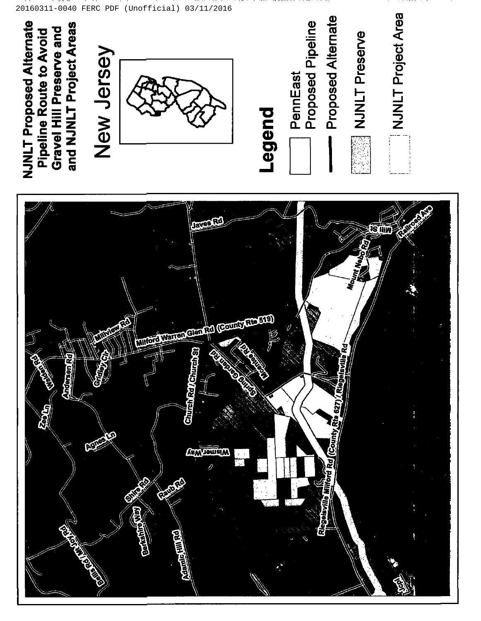